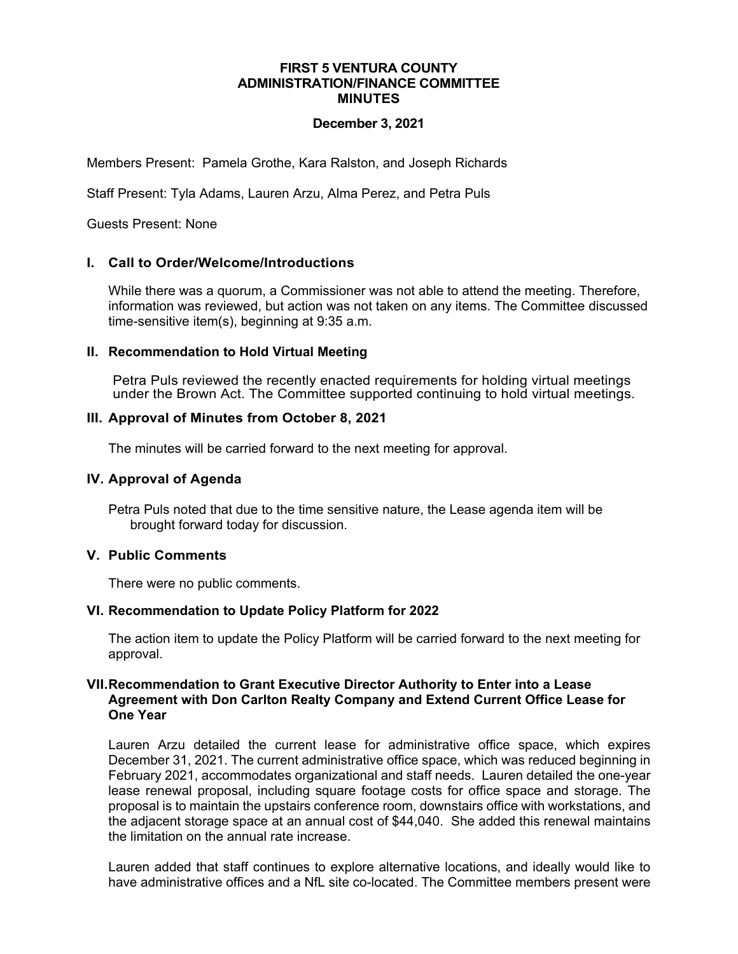### **FIRST 5 VENTURA COUNTY ADMINISTRATION/FINANCE COMMITTEE MINUTES**

## **December 3, 2021**

Members Present: Pamela Grothe, Kara Ralston, and Joseph Richards

Staff Present: Tyla Adams, Lauren Arzu, Alma Perez, and Petra Puls

Guests Present: None

## **I. Call to Order/Welcome/Introductions**

While there was a quorum, a Commissioner was not able to attend the meeting. Therefore, information was reviewed, but action was not taken on any items. The Committee discussed time-sensitive item(s), beginning at 9:35 a.m.

## **II. Recommendation to Hold Virtual Meeting**

Petra Puls reviewed the recently enacted requirements for holding virtual meetings under the Brown Act. The Committee supported continuing to hold virtual meetings.

## **III. Approval of Minutes from October 8, 2021**

The minutes will be carried forward to the next meeting for approval.

### **IV. Approval of Agenda**

Petra Puls noted that due to the time sensitive nature, the Lease agenda item will be brought forward today for discussion.

#### **V. Public Comments**

There were no public comments.

#### **VI. Recommendation to Update Policy Platform for 2022**

The action item to update the Policy Platform will be carried forward to the next meeting for approval.

### **VII.Recommendation to Grant Executive Director Authority to Enter into a Lease Agreement with Don Carlton Realty Company and Extend Current Office Lease for One Year**

Lauren Arzu detailed the current lease for administrative office space, which expires December 31, 2021. The current administrative office space, which was reduced beginning in February 2021, accommodates organizational and staff needs. Lauren detailed the one-year lease renewal proposal, including square footage costs for office space and storage. The proposal is to maintain the upstairs conference room, downstairs office with workstations, and the adjacent storage space at an annual cost of \$44,040. She added this renewal maintains the limitation on the annual rate increase.

Lauren added that staff continues to explore alternative locations, and ideally would like to have administrative offices and a NfL site co-located. The Committee members present were